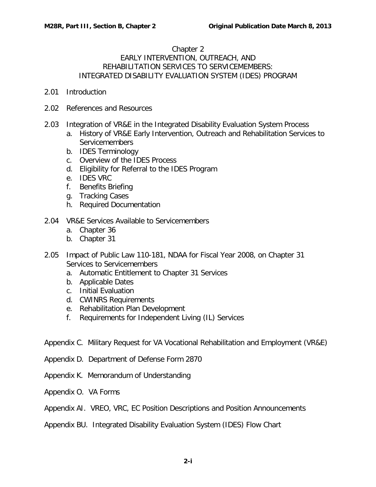## Chapter 2

## EARLY INTERVENTION, OUTREACH, AND REHABILITATION SERVICES TO SERVICEMEMBERS: INTEGRATED DISABILITY EVALUATION SYSTEM (IDES) PROGRAM

- 2.01 [Introduction](#page-2-0)
- 2.02 [References and Resources](#page-2-1)
- 2.03 [Integration of VR&E in the Integrated Disability Evaluation System Process](#page-3-0)
	- a. [History of VR&E Early Intervention, Outreach and Rehabilitation Services to](#page-3-1)  [Servicemembers](#page-3-1)
	- b. [IDES Terminology](#page-4-0)
	- c. [Overview of the IDES Process](#page-4-1)
	- d. [Eligibility for Referral to the IDES Program](#page-5-0)
	- e. [IDES VRC](#page-5-1)
	- f. [Benefits Briefing](#page-7-0)
	- g. [Tracking Cases](#page-10-0)
	- h. [Required Documentation](#page-11-0)
- 2.04 [VR&E Services Available to Servicemembers](#page-11-1)
	- a. [Chapter 36](#page-11-2)
	- b. [Chapter 31](#page-13-0)
- 2.05 [Impact of Public Law 110-181, NDAA for Fiscal Year 2008, on Chapter 31](#page-18-0)  [Services to Servicemembers](#page-18-0)
	- a. [Automatic Entitlement to Chapter 31 Services](#page-18-1)
	- b. [Applicable Dates](#page-19-0)
	- c. [Initial Evaluation](#page-20-0)
	- d. [CWINRS Requirements](#page-20-1)
	- e. [Rehabilitation Plan Development](#page-21-0)
	- f. [Requirements for Independent Living \(IL\) Services](#page-22-0)

Appendix C. Military Request for VA Vocational Rehabilitation and Employment (VR&E)

- Appendix D. Department of Defense Form 2870
- Appendix K. Memorandum of Understanding
- Appendix O. VA Forms
- Appendix AI. VREO, VRC, EC Position Descriptions and Position Announcements
- Appendix BU. Integrated Disability Evaluation System (IDES) Flow Chart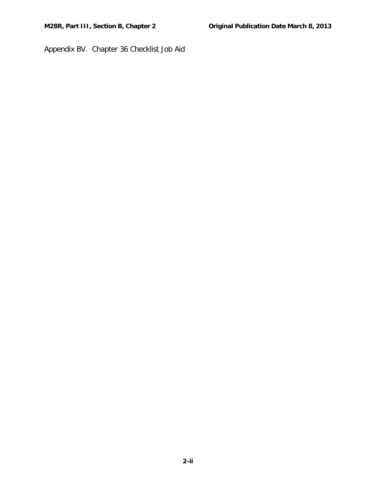Appendix BV. Chapter 36 Checklist Job Aid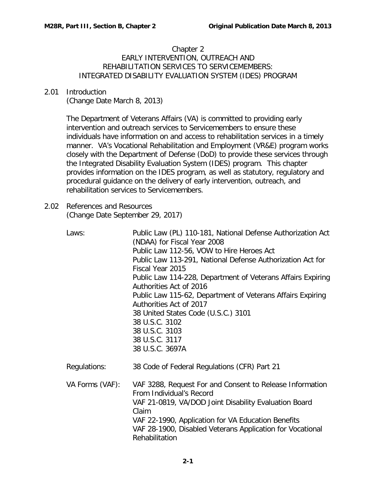## Chapter 2 EARLY INTERVENTION, OUTREACH AND REHABILITATION SERVICES TO SERVICEMEMBERS: INTEGRATED DISABILITY EVALUATION SYSTEM (IDES) PROGRAM

## <span id="page-2-0"></span>2.01 Introduction

(Change Date March 8, 2013)

The Department of Veterans Affairs (VA) is committed to providing early intervention and outreach services to Servicemembers to ensure these individuals have information on and access to rehabilitation services in a timely manner. VA's Vocational Rehabilitation and Employment (VR&E) program works closely with the Department of Defense (DoD) to provide these services through the Integrated Disability Evaluation System (IDES) program. This chapter provides information on the IDES program, as well as statutory, regulatory and procedural guidance on the delivery of early intervention, outreach, and rehabilitation services to Servicemembers.

<span id="page-2-1"></span>2.02 References and Resources (Change Date September 29, 2017)

| Laws:           | Public Law (PL) 110-181, National Defense Authorization Act<br>(NDAA) for Fiscal Year 2008<br>Public Law 112-56, VOW to Hire Heroes Act<br>Public Law 113-291, National Defense Authorization Act for<br>Fiscal Year 2015<br>Public Law 114-228, Department of Veterans Affairs Expiring<br>Authorities Act of 2016<br>Public Law 115-62, Department of Veterans Affairs Expiring<br>Authorities Act of 2017<br>38 United States Code (U.S.C.) 3101<br>38 U.S.C. 3102<br>38 U.S.C. 3103<br>38 U.S.C. 3117<br>38 U.S.C. 3697A |
|-----------------|------------------------------------------------------------------------------------------------------------------------------------------------------------------------------------------------------------------------------------------------------------------------------------------------------------------------------------------------------------------------------------------------------------------------------------------------------------------------------------------------------------------------------|
| Regulations:    | 38 Code of Federal Regulations (CFR) Part 21                                                                                                                                                                                                                                                                                                                                                                                                                                                                                 |
| VA Forms (VAF): | VAF 3288, Request For and Consent to Release Information<br>From Individual's Record<br>VAF 21-0819, VA/DOD Joint Disability Evaluation Board<br>Claim<br>VAF 22-1990, Application for VA Education Benefits<br>VAF 28-1900, Disabled Veterans Application for Vocational<br>Rehabilitation                                                                                                                                                                                                                                  |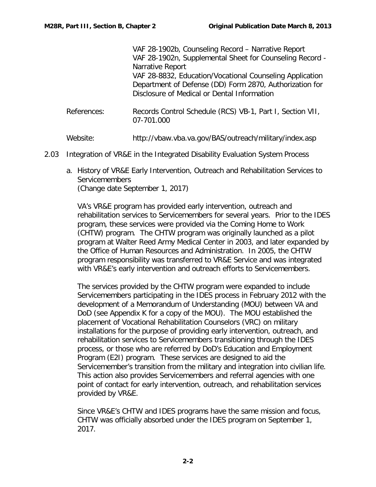VAF 28-1902b, Counseling Record – Narrative Report VAF 28-1902n, Supplemental Sheet for Counseling Record - Narrative Report VAF 28-8832, Education/Vocational Counseling Application Department of Defense (DD) Form 2870, Authorization for Disclosure of Medical or Dental Information

References: Records Control Schedule (RCS) VB-1, Part I, Section VII, 07-701.000

Website: http://vbaw.vba.va.gov/BAS/outreach/military/index.asp

- <span id="page-3-1"></span><span id="page-3-0"></span>2.03 Integration of VR&E in the Integrated Disability Evaluation System Process
	- a. History of VR&E Early Intervention, Outreach and Rehabilitation Services to Servicemembers (Change date September 1, 2017)

VA's VR&E program has provided early intervention, outreach and rehabilitation services to Servicemembers for several years. Prior to the IDES program, these services were provided via the Coming Home to Work (CHTW) program. The CHTW program was originally launched as a pilot program at Walter Reed Army Medical Center in 2003, and later expanded by the Office of Human Resources and Administration. In 2005, the CHTW program responsibility was transferred to VR&E Service and was integrated with VR&E's early intervention and outreach efforts to Servicemembers.

The services provided by the CHTW program were expanded to include Servicemembers participating in the IDES process in February 2012 with the development of a Memorandum of Understanding (MOU) between VA and DoD (see Appendix K for a copy of the MOU). The MOU established the placement of Vocational Rehabilitation Counselors (VRC) on military installations for the purpose of providing early intervention, outreach, and rehabilitation services to Servicemembers transitioning through the IDES process, or those who are referred by DoD's Education and Employment Program (E2I) program. These services are designed to aid the Servicemember's transition from the military and integration into civilian life. This action also provides Servicemembers and referral agencies with one point of contact for early intervention, outreach, and rehabilitation services provided by VR&E.

Since VR&E's CHTW and IDES programs have the same mission and focus, CHTW was officially absorbed under the IDES program on September 1, 2017.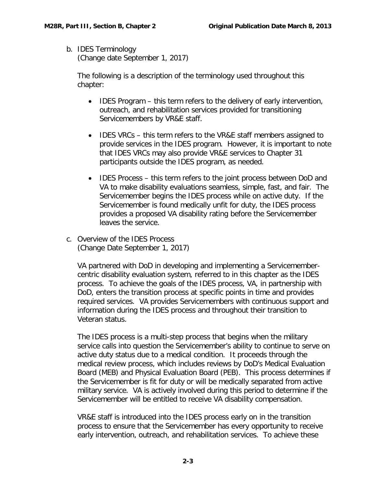<span id="page-4-0"></span>b. IDES Terminology

(Change date September 1, 2017)

The following is a description of the terminology used throughout this chapter:

- IDES Program this term refers to the delivery of early intervention, outreach, and rehabilitation services provided for transitioning Servicemembers by VR&E staff.
- IDES VRCs this term refers to the VR&E staff members assigned to provide services in the IDES program. However, it is important to note that IDES VRCs may also provide VR&E services to Chapter 31 participants outside the IDES program, as needed.
- IDES Process this term refers to the joint process between DoD and VA to make disability evaluations seamless, simple, fast, and fair. The Servicemember begins the IDES process while on active duty. If the Servicemember is found medically unfit for duty, the IDES process provides a proposed VA disability rating before the Servicemember leaves the service.
- <span id="page-4-1"></span>c. Overview of the IDES Process (Change Date September 1, 2017)

VA partnered with DoD in developing and implementing a Servicemembercentric disability evaluation system, referred to in this chapter as the IDES process. To achieve the goals of the IDES process, VA, in partnership with DoD, enters the transition process at specific points in time and provides required services. VA provides Servicemembers with continuous support and information during the IDES process and throughout their transition to Veteran status.

The IDES process is a multi-step process that begins when the military service calls into question the Servicemember's ability to continue to serve on active duty status due to a medical condition. It proceeds through the medical review process, which includes reviews by DoD's Medical Evaluation Board (MEB) and Physical Evaluation Board (PEB). This process determines if the Servicemember is fit for duty or will be medically separated from active military service. VA is actively involved during this period to determine if the Servicemember will be entitled to receive VA disability compensation.

VR&E staff is introduced into the IDES process early on in the transition process to ensure that the Servicemember has every opportunity to receive early intervention, outreach, and rehabilitation services. To achieve these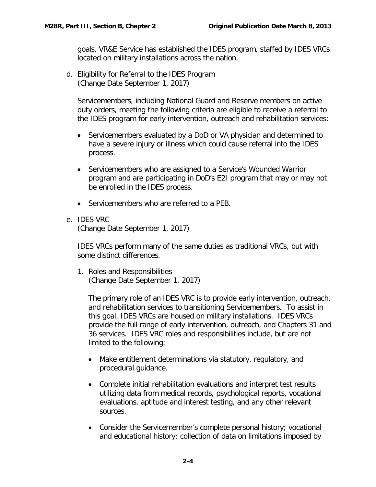goals, VR&E Service has established the IDES program, staffed by IDES VRCs located on military installations across the nation.

<span id="page-5-0"></span>d. Eligibility for Referral to the IDES Program (Change Date September 1, 2017)

Servicemembers, including National Guard and Reserve members on active duty orders, meeting the following criteria are eligible to receive a referral to the IDES program for early intervention, outreach and rehabilitation services:

- Servicemembers evaluated by a DoD or VA physician and determined to have a severe injury or illness which could cause referral into the IDES process.
- Servicemembers who are assigned to a Service's Wounded Warrior program and are participating in DoD's E2I program that may or may not be enrolled in the IDES process.
- Servicemembers who are referred to a PEB.
- <span id="page-5-1"></span>e. IDES VRC (Change Date September 1, 2017)

IDES VRCs perform many of the same duties as traditional VRCs, but with some distinct differences.

1. Roles and Responsibilities (Change Date September 1, 2017)

The primary role of an IDES VRC is to provide early intervention, outreach, and rehabilitation services to transitioning Servicemembers. To assist in this goal, IDES VRCs are housed on military installations. IDES VRCs provide the full range of early intervention, outreach, and Chapters 31 and 36 services. IDES VRC roles and responsibilities include, but are not limited to the following:

- Make entitlement determinations via statutory, regulatory, and procedural guidance.
- Complete initial rehabilitation evaluations and interpret test results utilizing data from medical records, psychological reports, vocational evaluations, aptitude and interest testing, and any other relevant sources.
- Consider the Servicemember's complete personal history; vocational and educational history; collection of data on limitations imposed by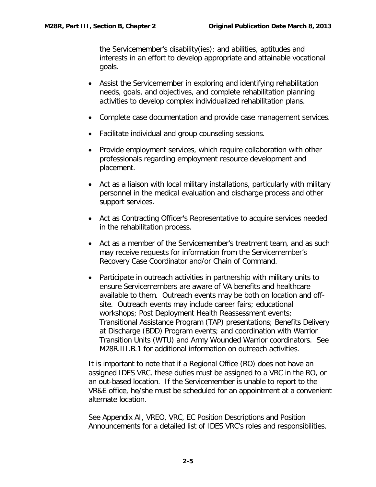the Servicemember's disability(ies); and abilities, aptitudes and interests in an effort to develop appropriate and attainable vocational goals.

- Assist the Servicemember in exploring and identifying rehabilitation needs, goals, and objectives, and complete rehabilitation planning activities to develop complex individualized rehabilitation plans.
- Complete case documentation and provide case management services.
- Facilitate individual and group counseling sessions.
- Provide employment services, which require collaboration with other professionals regarding employment resource development and placement.
- Act as a liaison with local military installations, particularly with military personnel in the medical evaluation and discharge process and other support services.
- Act as Contracting Officer's Representative to acquire services needed in the rehabilitation process.
- Act as a member of the Servicemember's treatment team, and as such may receive requests for information from the Servicemember's Recovery Case Coordinator and/or Chain of Command.
- Participate in outreach activities in partnership with military units to ensure Servicemembers are aware of VA benefits and healthcare available to them. Outreach events may be both on location and offsite. Outreach events may include career fairs; educational workshops; Post Deployment Health Reassessment events; Transitional Assistance Program (TAP) presentations; Benefits Delivery at Discharge (BDD) Program events; and coordination with Warrior Transition Units (WTU) and Army Wounded Warrior coordinators. See M28R.III.B.1 for additional information on outreach activities.

It is important to note that if a Regional Office (RO) does not have an assigned IDES VRC, these duties must be assigned to a VRC in the RO, or an out-based location. If the Servicemember is unable to report to the VR&E office, he/she must be scheduled for an appointment at a convenient alternate location.

See Appendix AI, VREO, VRC, EC Position Descriptions and Position Announcements for a detailed list of IDES VRC's roles and responsibilities.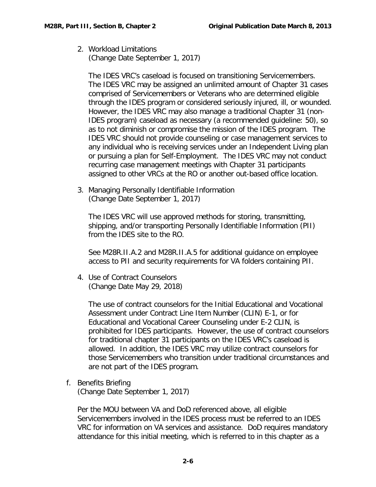2. Workload Limitations (Change Date September 1, 2017)

The IDES VRC's caseload is focused on transitioning Servicemembers. The IDES VRC may be assigned an unlimited amount of Chapter 31 cases comprised of Servicemembers or Veterans who are determined eligible through the IDES program or considered seriously injured, ill, or wounded. However, the IDES VRC may also manage a traditional Chapter 31 (non-IDES program) caseload as necessary (a recommended guideline: 50), so as to not diminish or compromise the mission of the IDES program. The IDES VRC should not provide counseling or case management services to any individual who is receiving services under an Independent Living plan or pursuing a plan for Self-Employment. The IDES VRC may not conduct recurring case management meetings with Chapter 31 participants assigned to other VRCs at the RO or another out-based office location.

3. Managing Personally Identifiable Information (Change Date September 1, 2017)

The IDES VRC will use approved methods for storing, transmitting, shipping, and/or transporting Personally Identifiable Information (PII) from the IDES site to the RO.

See M28R.II.A.2 and M28R.II.A.5 for additional guidance on employee access to PII and security requirements for VA folders containing PII.

4. Use of Contract Counselors (Change Date May 29, 2018)

The use of contract counselors for the Initial Educational and Vocational Assessment under Contract Line Item Number (CLIN) E-1, or for Educational and Vocational Career Counseling under E-2 CLIN, is prohibited for IDES participants. However, the use of contract counselors for traditional chapter 31 participants on the IDES VRC's caseload is allowed. In addition, the IDES VRC may utilize contract counselors for those Servicemembers who transition under traditional circumstances and are not part of the IDES program.

<span id="page-7-0"></span>f. Benefits Briefing (Change Date September 1, 2017)

Per the MOU between VA and DoD referenced above, all eligible Servicemembers involved in the IDES process must be referred to an IDES VRC for information on VA services and assistance. DoD requires mandatory attendance for this initial meeting, which is referred to in this chapter as a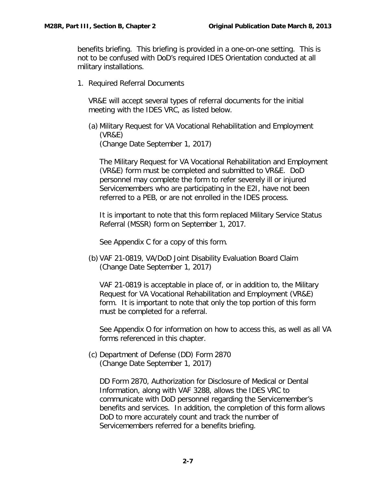benefits briefing. This briefing is provided in a one-on-one setting. This is not to be confused with DoD's required IDES Orientation conducted at all military installations.

1. Required Referral Documents

VR&E will accept several types of referral documents for the initial meeting with the IDES VRC, as listed below.

(a) Military Request for VA Vocational Rehabilitation and Employment (VR&E) (Change Date September 1, 2017)

The Military Request for VA Vocational Rehabilitation and Employment (VR&E) form must be completed and submitted to VR&E. DoD personnel may complete the form to refer severely ill or injured Servicemembers who are participating in the E2I, have not been referred to a PEB, or are not enrolled in the IDES process.

It is important to note that this form replaced Military Service Status Referral (MSSR) form on September 1, 2017.

See Appendix C for a copy of this form.

(b) VAF 21-0819, VA/DoD Joint Disability Evaluation Board Claim (Change Date September 1, 2017)

VAF 21-0819 is acceptable in place of, or in addition to, the Military Request for VA Vocational Rehabilitation and Employment (VR&E) form. It is important to note that only the top portion of this form must be completed for a referral.

See Appendix O for information on how to access this, as well as all VA forms referenced in this chapter.

(c) Department of Defense (DD) Form 2870 (Change Date September 1, 2017)

DD Form 2870, Authorization for Disclosure of Medical or Dental Information, along with VAF 3288, allows the IDES VRC to communicate with DoD personnel regarding the Servicemember's benefits and services. In addition, the completion of this form allows DoD to more accurately count and track the number of Servicemembers referred for a benefits briefing.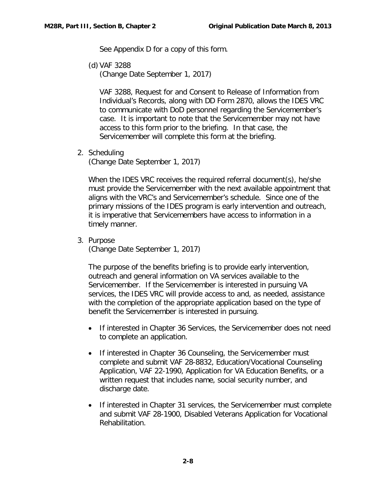See Appendix D for a copy of this form.

(d) VAF 3288

(Change Date September 1, 2017)

VAF 3288, Request for and Consent to Release of Information from Individual's Records, along with DD Form 2870, allows the IDES VRC to communicate with DoD personnel regarding the Servicemember's case. It is important to note that the Servicemember may not have access to this form prior to the briefing. In that case, the Servicemember will complete this form at the briefing.

2. Scheduling

(Change Date September 1, 2017)

When the IDES VRC receives the required referral document(s), he/she must provide the Servicemember with the next available appointment that aligns with the VRC's and Servicemember's schedule. Since one of the primary missions of the IDES program is early intervention and outreach, it is imperative that Servicemembers have access to information in a timely manner.

3. Purpose (Change Date September 1, 2017)

The purpose of the benefits briefing is to provide early intervention, outreach and general information on VA services available to the Servicemember. If the Servicemember is interested in pursuing VA services, the IDES VRC will provide access to and, as needed, assistance with the completion of the appropriate application based on the type of benefit the Servicemember is interested in pursuing.

- If interested in Chapter 36 Services, the Servicemember does not need to complete an application.
- If interested in Chapter 36 Counseling, the Servicemember must complete and submit VAF 28-8832, Education/Vocational Counseling Application, VAF 22-1990, Application for VA Education Benefits, or a written request that includes name, social security number, and discharge date.
- If interested in Chapter 31 services, the Servicemember must complete and submit VAF 28-1900, Disabled Veterans Application for Vocational Rehabilitation.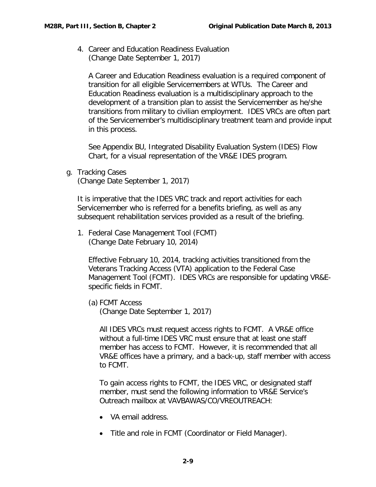4. Career and Education Readiness Evaluation (Change Date September 1, 2017)

A Career and Education Readiness evaluation is a required component of transition for all eligible Servicemembers at WTUs. The Career and Education Readiness evaluation is a multidisciplinary approach to the development of a transition plan to assist the Servicemember as he/she transitions from military to civilian employment. IDES VRCs are often part of the Servicemember's multidisciplinary treatment team and provide input in this process.

See Appendix BU, Integrated Disability Evaluation System (IDES) Flow Chart, for a visual representation of the VR&E IDES program.

<span id="page-10-0"></span>g. Tracking Cases (Change Date September 1, 2017)

It is imperative that the IDES VRC track and report activities for each Servicemember who is referred for a benefits briefing, as well as any subsequent rehabilitation services provided as a result of the briefing.

1. Federal Case Management Tool (FCMT) (Change Date February 10, 2014)

Effective February 10, 2014, tracking activities transitioned from the Veterans Tracking Access (VTA) application to the Federal Case Management Tool (FCMT). IDES VRCs are responsible for updating VR&Especific fields in FCMT.

(a) FCMT Access (Change Date September 1, 2017)

All IDES VRCs must request access rights to FCMT. A VR&E office without a full-time IDES VRC must ensure that at least one staff member has access to FCMT. However, it is recommended that all VR&E offices have a primary, and a back-up, staff member with access to FCMT.

To gain access rights to FCMT, the IDES VRC, or designated staff member, must send the following information to VR&E Service's Outreach mailbox at VAVBAWAS/CO/VREOUTREACH:

- VA email address.
- Title and role in FCMT (Coordinator or Field Manager).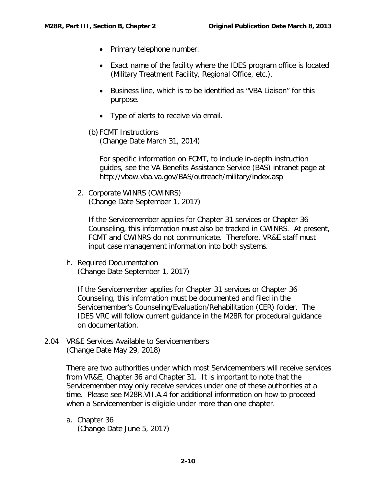- Primary telephone number.
- Exact name of the facility where the IDES program office is located (Military Treatment Facility, Regional Office, etc.).
- Business line, which is to be identified as "VBA Liaison" for this purpose.
- Type of alerts to receive via email.
- (b) FCMT Instructions

(Change Date March 31, 2014)

For specific information on FCMT, to include in-depth instruction guides, see the VA Benefits Assistance Service (BAS) intranet page at http://vbaw.vba.va.gov/BAS/outreach/military/index.asp

2. Corporate WINRS (CWINRS) (Change Date September 1, 2017)

If the Servicemember applies for Chapter 31 services or Chapter 36 Counseling, this information must also be tracked in CWINRS. At present, FCMT and CWINRS do not communicate. Therefore, VR&E staff must input case management information into both systems.

<span id="page-11-0"></span>h. Required Documentation (Change Date September 1, 2017)

If the Servicemember applies for Chapter 31 services or Chapter 36 Counseling, this information must be documented and filed in the Servicemember's Counseling/Evaluation/Rehabilitation (CER) folder. The IDES VRC will follow current guidance in the M28R for procedural guidance on documentation.

<span id="page-11-1"></span>2.04 VR&E Services Available to Servicemembers (Change Date May 29, 2018)

> There are two authorities under which most Servicemembers will receive services from VR&E, Chapter 36 and Chapter 31. It is important to note that the Servicemember may only receive services under one of these authorities at a time. Please see M28R.VII.A.4 for additional information on how to proceed when a Servicemember is eligible under more than one chapter.

<span id="page-11-2"></span>a. Chapter 36 (Change Date June 5, 2017)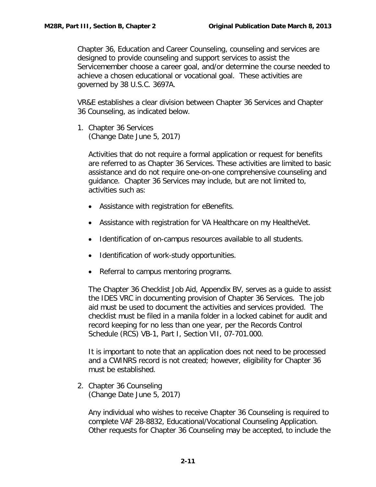Chapter 36, Education and Career Counseling, counseling and services are designed to provide counseling and support services to assist the Servicemember choose a career goal, and/or determine the course needed to achieve a chosen educational or vocational goal. These activities are governed by 38 U.S.C. 3697A.

VR&E establishes a clear division between Chapter 36 Services and Chapter 36 Counseling, as indicated below.

1. Chapter 36 Services (Change Date June 5, 2017)

> Activities that do not require a formal application or request for benefits are referred to as Chapter 36 Services. These activities are limited to basic assistance and do not require one-on-one comprehensive counseling and guidance. Chapter 36 Services may include, but are not limited to, activities such as:

- Assistance with registration for eBenefits.
- Assistance with registration for VA Healthcare on my HealtheVet.
- Identification of on-campus resources available to all students.
- Identification of work-study opportunities.
- Referral to campus mentoring programs.

The Chapter 36 Checklist Job Aid, Appendix BV, serves as a guide to assist the IDES VRC in documenting provision of Chapter 36 Services. The job aid must be used to document the activities and services provided. The checklist must be filed in a manila folder in a locked cabinet for audit and record keeping for no less than one year, per the Records Control Schedule (RCS) VB-1, Part I, Section VII, 07-701.000.

It is important to note that an application does not need to be processed and a CWINRS record is not created; however, eligibility for Chapter 36 must be established.

2. Chapter 36 Counseling (Change Date June 5, 2017)

Any individual who wishes to receive Chapter 36 Counseling is required to complete VAF 28-8832, Educational/Vocational Counseling Application. Other requests for Chapter 36 Counseling may be accepted, to include the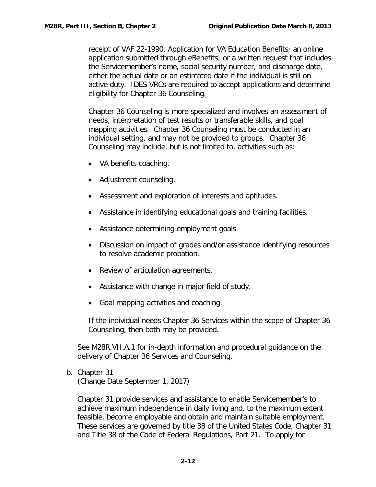receipt of VAF 22-1990, Application for VA Education Benefits; an online application submitted through eBenefits; or a written request that includes the Servicemember's name, social security number, and discharge date, either the actual date or an estimated date if the individual is still on active duty. IDES VRCs are required to accept applications and determine eligibility for Chapter 36 Counseling.

Chapter 36 Counseling is more specialized and involves an assessment of needs, interpretation of test results or transferable skills, and goal mapping activities. Chapter 36 Counseling must be conducted in an individual setting, and may not be provided to groups. Chapter 36 Counseling may include, but is not limited to, activities such as:

- VA benefits coaching.
- Adjustment counseling.
- Assessment and exploration of interests and aptitudes.
- Assistance in identifying educational goals and training facilities.
- Assistance determining employment goals.
- Discussion on impact of grades and/or assistance identifying resources to resolve academic probation.
- Review of articulation agreements.
- Assistance with change in major field of study.
- Goal mapping activities and coaching.

If the individual needs Chapter 36 Services within the scope of Chapter 36 Counseling, then both may be provided.

See M28R.VII.A.1 for in-depth information and procedural guidance on the delivery of Chapter 36 Services and Counseling.

<span id="page-13-0"></span>b. Chapter 31 (Change Date September 1, 2017)

Chapter 31 provide services and assistance to enable Servicemember's to achieve maximum independence in daily living and, to the maximum extent feasible, become employable and obtain and maintain suitable employment. These services are governed by title 38 of the United States Code, Chapter 31 and Title 38 of the Code of Federal Regulations, Part 21. To apply for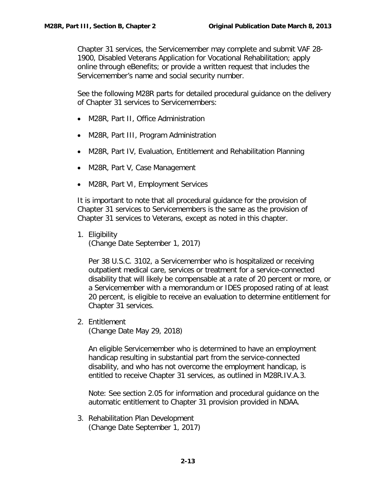Chapter 31 services, the Servicemember may complete and submit VAF 28- 1900, Disabled Veterans Application for Vocational Rehabilitation; apply online through eBenefits; or provide a written request that includes the Servicemember's name and social security number.

See the following M28R parts for detailed procedural guidance on the delivery of Chapter 31 services to Servicemembers:

- M28R, Part II, Office Administration
- M28R, Part III, Program Administration
- M28R, Part IV, Evaluation, Entitlement and Rehabilitation Planning
- M28R, Part V, Case Management
- M28R, Part VI, Employment Services

It is important to note that all procedural guidance for the provision of Chapter 31 services to Servicemembers is the same as the provision of Chapter 31 services to Veterans, except as noted in this chapter.

1. Eligibility (Change Date September 1, 2017)

Per 38 U.S.C. 3102, a Servicemember who is hospitalized or receiving outpatient medical care, services or treatment for a service-connected disability that will likely be compensable at a rate of 20 percent or more, or a Servicemember with a memorandum or IDES proposed rating of at least 20 percent, is eligible to receive an evaluation to determine entitlement for Chapter 31 services.

2. Entitlement

(Change Date May 29, 2018)

An eligible Servicemember who is determined to have an employment handicap resulting in substantial part from the service-connected disability, and who has not overcome the employment handicap, is entitled to receive Chapter 31 services, as outlined in M28R.IV.A.3.

Note: See section 2.05 for information and procedural guidance on the automatic entitlement to Chapter 31 provision provided in NDAA.

3. Rehabilitation Plan Development (Change Date September 1, 2017)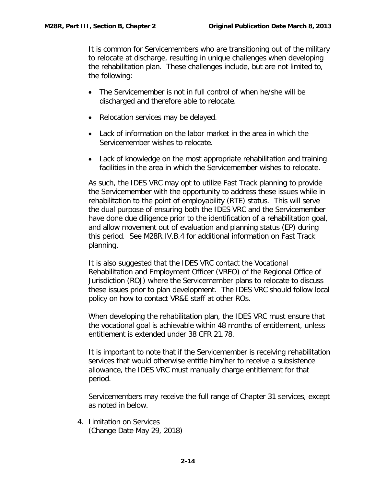It is common for Servicemembers who are transitioning out of the military to relocate at discharge, resulting in unique challenges when developing the rehabilitation plan. These challenges include, but are not limited to, the following:

- The Servicemember is not in full control of when he/she will be discharged and therefore able to relocate.
- Relocation services may be delayed.
- Lack of information on the labor market in the area in which the Servicemember wishes to relocate.
- Lack of knowledge on the most appropriate rehabilitation and training facilities in the area in which the Servicemember wishes to relocate.

As such, the IDES VRC may opt to utilize Fast Track planning to provide the Servicemember with the opportunity to address these issues while in rehabilitation to the point of employability (RTE) status. This will serve the dual purpose of ensuring both the IDES VRC and the Servicemember have done due diligence prior to the identification of a rehabilitation goal, and allow movement out of evaluation and planning status (EP) during this period. See M28R.IV.B.4 for additional information on Fast Track planning.

It is also suggested that the IDES VRC contact the Vocational Rehabilitation and Employment Officer (VREO) of the Regional Office of Jurisdiction (ROJ) where the Servicemember plans to relocate to discuss these issues prior to plan development. The IDES VRC should follow local policy on how to contact VR&E staff at other ROs.

When developing the rehabilitation plan, the IDES VRC must ensure that the vocational goal is achievable within 48 months of entitlement, unless entitlement is extended under 38 CFR 21.78.

It is important to note that if the Servicemember is receiving rehabilitation services that would otherwise entitle him/her to receive a subsistence allowance, the IDES VRC must manually charge entitlement for that period.

Servicemembers may receive the full range of Chapter 31 services, except as noted in below.

4. Limitation on Services (Change Date May 29, 2018)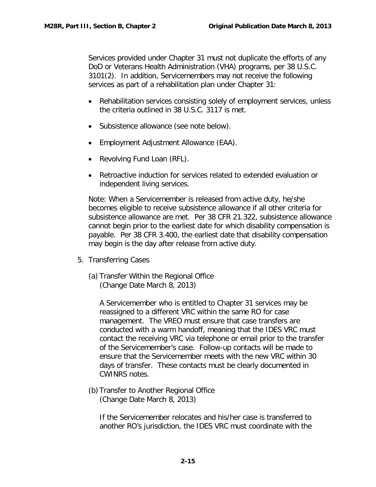Services provided under Chapter 31 must not duplicate the efforts of any DoD or Veterans Health Administration (VHA) programs, per 38 U.S.C. 3101(2). In addition, Servicemembers may not receive the following services as part of a rehabilitation plan under Chapter 31:

- Rehabilitation services consisting solely of employment services, unless the criteria outlined in 38 U.S.C. 3117 is met.
- Subsistence allowance (see note below).
- Employment Adjustment Allowance (EAA).
- Revolving Fund Loan (RFL).
- Retroactive induction for services related to extended evaluation or independent living services.

Note: When a Servicemember is released from active duty, he/she becomes eligible to receive subsistence allowance if all other criteria for subsistence allowance are met. Per 38 CFR 21.322, subsistence allowance cannot begin prior to the earliest date for which disability compensation is payable. Per 38 CFR 3.400, the earliest date that disability compensation may begin is the day after release from active duty.

- 5. Transferring Cases
	- (a) Transfer Within the Regional Office (Change Date March 8, 2013)

A Servicemember who is entitled to Chapter 31 services may be reassigned to a different VRC within the same RO for case management. The VREO must ensure that case transfers are conducted with a warm handoff, meaning that the IDES VRC must contact the receiving VRC via telephone or email prior to the transfer of the Servicemember's case. Follow-up contacts will be made to ensure that the Servicemember meets with the new VRC within 30 days of transfer. These contacts must be clearly documented in CWINRS notes.

(b) Transfer to Another Regional Office (Change Date March 8, 2013)

If the Servicemember relocates and his/her case is transferred to another RO's jurisdiction, the IDES VRC must coordinate with the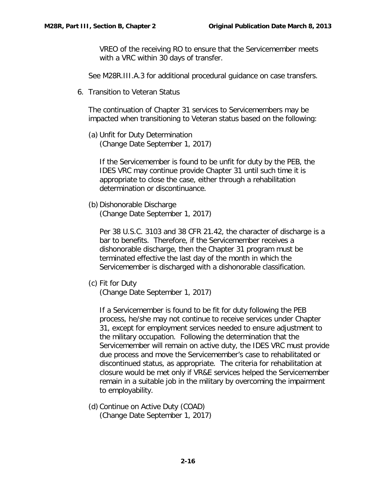VREO of the receiving RO to ensure that the Servicemember meets with a VRC within 30 days of transfer.

See M28R.III.A.3 for additional procedural guidance on case transfers.

6. Transition to Veteran Status

The continuation of Chapter 31 services to Servicemembers may be impacted when transitioning to Veteran status based on the following:

(a) Unfit for Duty Determination (Change Date September 1, 2017)

If the Servicemember is found to be unfit for duty by the PEB, the IDES VRC may continue provide Chapter 31 until such time it is appropriate to close the case, either through a rehabilitation determination or discontinuance.

(b) Dishonorable Discharge (Change Date September 1, 2017)

Per 38 U.S.C. 3103 and 38 CFR 21.42, the character of discharge is a bar to benefits. Therefore, if the Servicemember receives a dishonorable discharge, then the Chapter 31 program must be terminated effective the last day of the month in which the Servicemember is discharged with a dishonorable classification.

(c) Fit for Duty

(Change Date September 1, 2017)

If a Servicemember is found to be fit for duty following the PEB process, he/she may not continue to receive services under Chapter 31, except for employment services needed to ensure adjustment to the military occupation. Following the determination that the Servicemember will remain on active duty, the IDES VRC must provide due process and move the Servicemember's case to rehabilitated or discontinued status, as appropriate. The criteria for rehabilitation at closure would be met only if VR&E services helped the Servicemember remain in a suitable job in the military by overcoming the impairment to employability.

(d) Continue on Active Duty (COAD) (Change Date September 1, 2017)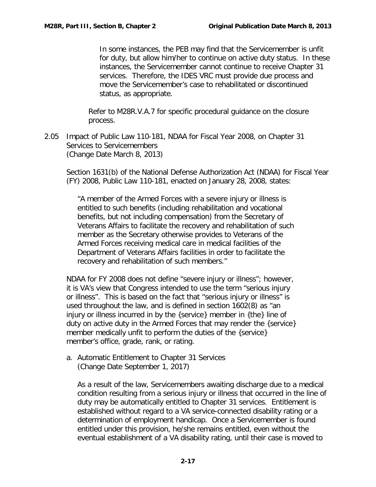In some instances, the PEB may find that the Servicemember is unfit for duty, but allow him/her to continue on active duty status. In these instances, the Servicemember cannot continue to receive Chapter 31 services. Therefore, the IDES VRC must provide due process and move the Servicemember's case to rehabilitated or discontinued status, as appropriate.

Refer to M28R.V.A.7 for specific procedural guidance on the closure process.

<span id="page-18-0"></span>2.05 Impact of Public Law 110-181, NDAA for Fiscal Year 2008, on Chapter 31 Services to Servicemembers (Change Date March 8, 2013)

Section 1631(b) of the National Defense Authorization Act (NDAA) for Fiscal Year (FY) 2008, Public Law 110-181, enacted on January 28, 2008, states:

"A member of the Armed Forces with a severe injury or illness is entitled to such benefits (including rehabilitation and vocational benefits, but not including compensation) from the Secretary of Veterans Affairs to facilitate the recovery and rehabilitation of such member as the Secretary otherwise provides to Veterans of the Armed Forces receiving medical care in medical facilities of the Department of Veterans Affairs facilities in order to facilitate the recovery and rehabilitation of such members."

NDAA for FY 2008 does not define "severe injury or illness"; however, it is VA's view that Congress intended to use the term "serious injury or illness". This is based on the fact that "serious injury or illness" is used throughout the law, and is defined in section 1602(8) as "an injury or illness incurred in by the {service} member in {the} line of duty on active duty in the Armed Forces that may render the {service} member medically unfit to perform the duties of the {service} member's office, grade, rank, or rating.

<span id="page-18-1"></span>a. Automatic Entitlement to Chapter 31 Services (Change Date September 1, 2017)

As a result of the law, Servicemembers awaiting discharge due to a medical condition resulting from a serious injury or illness that occurred in the line of duty may be automatically entitled to Chapter 31 services. Entitlement is established without regard to a VA service-connected disability rating or a determination of employment handicap. Once a Servicemember is found entitled under this provision, he/she remains entitled, even without the eventual establishment of a VA disability rating, until their case is moved to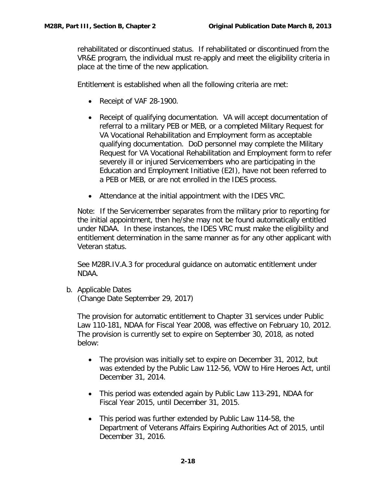rehabilitated or discontinued status. If rehabilitated or discontinued from the VR&E program, the individual must re-apply and meet the eligibility criteria in place at the time of the new application.

Entitlement is established when all the following criteria are met:

- Receipt of VAF 28-1900.
- Receipt of qualifying documentation. VA will accept documentation of referral to a military PEB or MEB, or a completed Military Request for VA Vocational Rehabilitation and Employment form as acceptable qualifying documentation. DoD personnel may complete the Military Request for VA Vocational Rehabilitation and Employment form to refer severely ill or injured Servicemembers who are participating in the Education and Employment Initiative (E2I), have not been referred to a PEB or MEB, or are not enrolled in the IDES process.
- Attendance at the initial appointment with the IDES VRC.

Note: If the Servicemember separates from the military prior to reporting for the initial appointment, then he/she may not be found automatically entitled under NDAA. In these instances, the IDES VRC must make the eligibility and entitlement determination in the same manner as for any other applicant with Veteran status.

See M28R.IV.A.3 for procedural guidance on automatic entitlement under NDAA.

<span id="page-19-0"></span>b. Applicable Dates

(Change Date September 29, 2017)

The provision for automatic entitlement to Chapter 31 services under Public Law 110-181, NDAA for Fiscal Year 2008, was effective on February 10, 2012. The provision is currently set to expire on September 30, 2018, as noted below:

- The provision was initially set to expire on December 31, 2012, but was extended by the Public Law 112-56, VOW to Hire Heroes Act, until December 31, 2014.
- This period was extended again by Public Law 113-291, NDAA for Fiscal Year 2015, until December 31, 2015.
- This period was further extended by Public Law 114-58, the Department of Veterans Affairs Expiring Authorities Act of 2015, until December 31, 2016.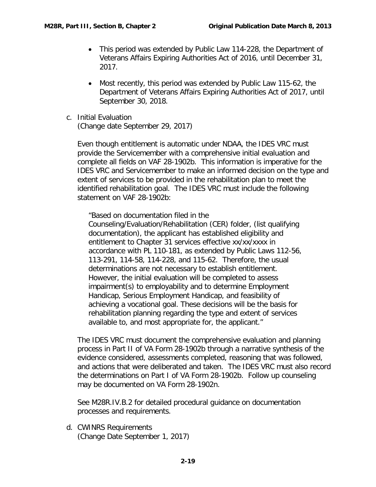- This period was extended by Public Law 114-228, the Department of Veterans Affairs Expiring Authorities Act of 2016, until December 31, 2017.
- Most recently, this period was extended by Public Law 115-62, the Department of Veterans Affairs Expiring Authorities Act of 2017, until September 30, 2018.
- <span id="page-20-0"></span>c. Initial Evaluation (Change date September 29, 2017)

Even though entitlement is automatic under NDAA, the IDES VRC must provide the Servicemember with a comprehensive initial evaluation and complete all fields on VAF 28-1902b. This information is imperative for the IDES VRC and Servicemember to make an informed decision on the type and extent of services to be provided in the rehabilitation plan to meet the identified rehabilitation goal. The IDES VRC must include the following statement on VAF 28-1902b:

"Based on documentation filed in the

Counseling/Evaluation/Rehabilitation (CER) folder, (list qualifying documentation), the applicant has established eligibility and entitlement to Chapter 31 services effective xx/xx/xxxx in accordance with PL 110-181, as extended by Public Laws 112-56, 113-291, 114-58, 114-228, and 115-62. Therefore, the usual determinations are not necessary to establish entitlement. However, the initial evaluation will be completed to assess impairment(s) to employability and to determine Employment Handicap, Serious Employment Handicap, and feasibility of achieving a vocational goal. These decisions will be the basis for rehabilitation planning regarding the type and extent of services available to, and most appropriate for, the applicant."

The IDES VRC must document the comprehensive evaluation and planning process in Part II of VA Form 28-1902b through a narrative synthesis of the evidence considered, assessments completed, reasoning that was followed, and actions that were deliberated and taken. The IDES VRC must also record the determinations on Part I of VA Form 28-1902b. Follow up counseling may be documented on VA Form 28-1902n.

See M28R.IV.B.2 for detailed procedural guidance on documentation processes and requirements.

<span id="page-20-1"></span>d. CWINRS Requirements (Change Date September 1, 2017)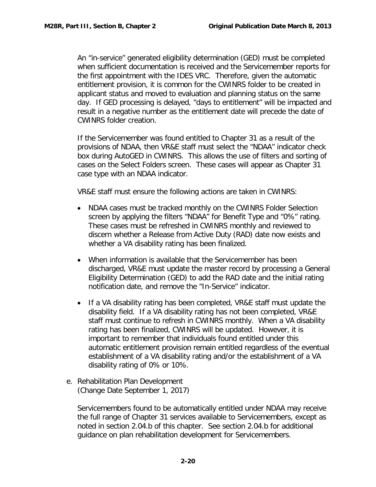An "in-service" generated eligibility determination (GED) must be completed when sufficient documentation is received and the Servicemember reports for the first appointment with the IDES VRC. Therefore, given the automatic entitlement provision, it is common for the CWINRS folder to be created in applicant status and moved to evaluation and planning status on the same day. If GED processing is delayed, "days to entitlement" will be impacted and result in a negative number as the entitlement date will precede the date of CWINRS folder creation.

If the Servicemember was found entitled to Chapter 31 as a result of the provisions of NDAA, then VR&E staff must select the "NDAA" indicator check box during AutoGED in CWINRS. This allows the use of filters and sorting of cases on the Select Folders screen. These cases will appear as Chapter 31 case type with an NDAA indicator.

VR&E staff must ensure the following actions are taken in CWINRS:

- NDAA cases must be tracked monthly on the CWINRS Folder Selection screen by applying the filters "NDAA" for Benefit Type and "0%" rating. These cases must be refreshed in CWINRS monthly and reviewed to discern whether a Release from Active Duty (RAD) date now exists and whether a VA disability rating has been finalized.
- When information is available that the Servicemember has been discharged, VR&E must update the master record by processing a General Eligibility Determination (GED) to add the RAD date and the initial rating notification date, and remove the "In-Service" indicator.
- If a VA disability rating has been completed, VR&E staff must update the disability field. If a VA disability rating has not been completed, VR&E staff must continue to refresh in CWINRS monthly. When a VA disability rating has been finalized, CWINRS will be updated. However, it is important to remember that individuals found entitled under this automatic entitlement provision remain entitled regardless of the eventual establishment of a VA disability rating and/or the establishment of a VA disability rating of 0% or 10%.
- <span id="page-21-0"></span>e. Rehabilitation Plan Development (Change Date September 1, 2017)

Servicemembers found to be automatically entitled under NDAA may receive the full range of Chapter 31 services available to Servicemembers, except as noted in section 2.04.b of this chapter. See section 2.04.b for additional guidance on plan rehabilitation development for Servicemembers.